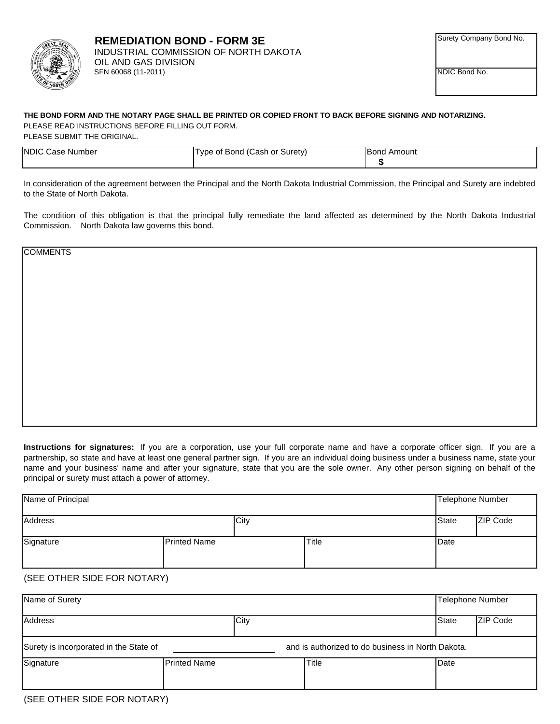

NDIC Bond No.

## **THE BOND FORM AND THE NOTARY PAGE SHALL BE PRINTED OR COPIED FRONT TO BACK BEFORE SIGNING AND NOTARIZING.** PLEASE READ INSTRUCTIONS BEFORE FILLING OUT FORM.

PLEASE SUBMIT THE ORIGINAL.

| <b>INDIC C</b><br>. Case Number | Type of Bond (Cash or Surety) | <b>Bond Amount</b> |
|---------------------------------|-------------------------------|--------------------|
|                                 |                               |                    |

In consideration of the agreement between the Principal and the North Dakota Industrial Commission, the Principal and Surety are indebted to the State of North Dakota.

The condition of this obligation is that the principal fully remediate the land affected as determined by the North Dakota Industrial Commission. North Dakota law governs this bond.

**COMMENTS** 

**Instructions for signatures:** If you are a corporation, use your full corporate name and have a corporate officer sign. If you are a partnership, so state and have at least one general partner sign. If you are an individual doing business under a business name, state your name and your business' name and after your signature, state that you are the sole owner. Any other person signing on behalf of the principal or surety must attach a power of attorney.

| Name of Principal |                     |       | Telephone Number |                 |
|-------------------|---------------------|-------|------------------|-----------------|
| Address           | City                |       | <b>State</b>     | <b>ZIP Code</b> |
| Signature         | <b>Printed Name</b> | Title | Date             |                 |

## (SEE OTHER SIDE FOR NOTARY)

| Name of Surety                                                                              |                     |       | <b>Telephone Number</b> |                 |
|---------------------------------------------------------------------------------------------|---------------------|-------|-------------------------|-----------------|
| Address                                                                                     | City                |       | State                   | <b>ZIP Code</b> |
| Surety is incorporated in the State of<br>and is authorized to do business in North Dakota. |                     |       |                         |                 |
| Signature                                                                                   | <b>Printed Name</b> | Title | Date                    |                 |